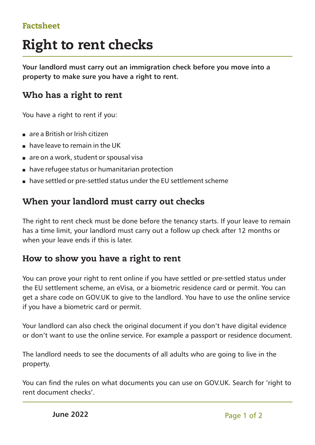#### Factsheet

# Right to rent checks

**Your landlord must carry out an immigration check before you move into a property to make sure you have a right to rent.**

## Who has a right to rent

You have a right to rent if you:

- $n =$  are a British or Irish citizen
- $\blacksquare$  have leave to remain in the UK
- $\blacksquare$  are on a work, student or spousal visa
- n have refugee status or humanitarian protection
- <sup>n</sup> have settled or pre-settled status under the EU settlement scheme

## When your landlord must carry out checks

The right to rent check must be done before the tenancy starts. If your leave to remain has a time limit, your landlord must carry out a follow up check after 12 months or when your leave ends if this is later.

#### How to show you have a right to rent

You can prove your right to rent online if you have settled or pre-settled status under the EU settlement scheme, an eVisa, or a biometric residence card or permit. You can get a share code on GOV.UK to give to the landlord. You have to use the online service if you have a biometric card or permit.

Your landlord can also check the original document if you don't have digital evidence or don't want to use the online service. For example a passport or residence document.

The landlord needs to see the documents of all adults who are going to live in the property.

You can find the rules on what documents you can use on GOV.UK. Search for 'right to rent document checks'.